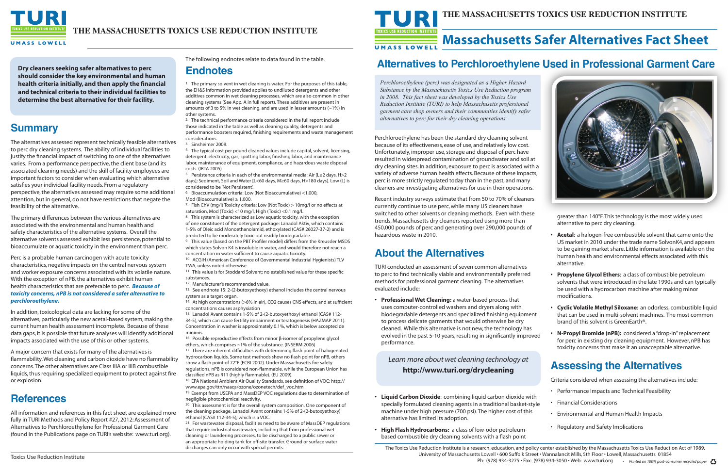

**Dry cleaners seeking safer alternatives to perc should consider the key environmental and human health criteria initially, and then apply the financial and technical criteria to their individual facilities to determine the best alternative for their facility.**

### **Summary**

The alternatives assessed represent technically feasible alternatives to perc dry cleaning systems. The ability of individual facilities to justify the financial impact of switching to one of the alternatives varies. From a performance perspective, the client base (and its associated cleaning needs) and the skill of facility employees are important factors to consider when evaluating which alternative satisfies your individual facility needs. From a regulatory perspective, the alternatives assessed may require some additional attention, but in general, do not have restrictions that negate the feasibility of the alternative.

The primary differences between the various alternatives are associated with the environmental and human health and safety characteristics of the alternative systems. Overall the alternative solvents assessed exhibit less persistence, potential to bioaccumulate or aquatic toxicity in the environment than perc.

Perc is a probable human carcinogen with acute toxicity characteristics, negative impacts on the central nervous system and worker exposure concerns associated with its volatile nature. With the exception of nPB, the alternatives exhibit human health characteristics that are preferable to perc. *Because of toxicity concerns, nPB is not considered a safer alternative to perchloroethylene.*

<sup>1.</sup> The primary solvent in wet cleaning is water. For the purposes of this table, the EH&S information provided applies to undiluted detergents and other additives common in wet cleaning processes, which are also common in other cleaning systems (See App. A in full report). These additives are present in amounts of 3 to 5% in wet cleaning, and are used in lesser amounts (~1%) in other systems.

In addition, toxicological data are lacking for some of the alternatives, particularly the new acetal-based system, making the current human health assessment incomplete. Because of these data gaps, it is possible that future analyses will identify additional impacts associated with the use of this or other systems.

6. Bioaccumulation criteria: Low (Not Bioaccumulative) <1,000, Mod (Bioaccumulative)  $\geq 1,000$ .

<sup>7.</sup> Fish ChV (mg/l) Toxicity criteria: Low (Not Toxic) > 10mg/l or no effects at saturation, Mod (Toxic) <10 mg/l, High (Toxic) <0.1 mg/l.

8. This system is characterized as Low aquatic toxicity, with the exception of one constituent of the detergent package: Lanadol Aktiv, which contains 1-5% of Oleic acid Monoethanolamid, ethoxylated (CAS# 26027-37-2) and is predicted to be moderately toxic but readily biodegradable.

9. This value (based on the PBT Profiler model) differs from the Kreussler MSDS which states Solvon K4 is insoluble in water, and would therefore not reach a concentration in water sufficient to cause aquatic toxicity.

A major concern that exists for many of the alternatives is flammability. Wet cleaning and carbon dioxide have no flammability concerns. The other alternatives are Class IIIA or IIIB combustible liquids, thus requiring specialized equipment to protect against fire or explosion.

## **References**

11. This value is for Stoddard Solvent; no established value for these specific substances.

All information and references in this fact sheet are explained more fully in TURI Methods and Policy Report #27, 2012: Assessment of Alternatives to Perchloroethylene for Professional Garment Care (found in the Publications page on TURI's website: www.turi.org).

14. At high concentrations (>6% in air), CO2 causes CNS effects, and at sufficient concentrations causes asphyxiation

The following endnotes relate to data found in the table.

### **Endnotes**

<sup>16.</sup> Possible reproductive effects from minor β-isomer of propylene glycol ethers, which comprises ~1% of the substance. (INSERM 2006)

<sup>17.</sup> There are inherent difficulties with determining flash point of halogenated hydrocarbon liquids. Some test methods show no flash point for nPB, others show a flash point of 72°F (ECBI 2002). Under Massachusetts fire safety regulations, nPB is considered non-flammable, while the European Union has classified nPB as R11 (highly flammable). (EU 2009).

18. EPA National Ambient Air Quality Standards, see definition of VOC: http:// www.epa.gov/ttn/naaqs/ozone/ozonetech/def\_voc.htm

2. The technical performance criteria considered in the full report include those indicated in the table as well as cleaning quality, detergents and performance boosters required, finishing requirements and waste management considerations.

3. Sinsheimer 2009.

4. The typical cost per pound cleaned values include capital, solvent, licensing, detergent, electricity, gas, spotting labor, finishing labor, and maintenance labor, maintenance of equipment, compliance, and hazardous waste disposal costs. (IRTA 2005)

5. Persistence criteria in each of the environmental media: Air [L≤2 days, H>2 days]; Sediment, Soil and Water [L<60 days, M≥60 days, H>180 days]. Low (L) is considered to be 'Not Persistent'.

- **Liquid Carbon Dioxide**: combining liquid carbon dioxide with specially formulated cleaning agents in a traditional basket-style machine under high pressure (700 psi). The higher cost of this alternative has limited its adoption.
- **High Flash Hydrocarbons:** a class of low-odor petroleumbased combustible dry cleaning solvents with a flash point

10. ACGIH (American Conference of Governmental Industrial Hygienists) TLV TWA, unless noted otherwise.

12. Manufacturer's recommended value.

13. See endnote 15: 2-(2-butoxyethoxy) ethanol includes the central nervous system as a target organ.

15. Lanadol Avant contains 1-5% of 2-(2-butoxyethoxy) ethanol (CAS# 112- 34-5), which can cause fertility impairment or teratogenesis (HAZMAP 2011). Concentration in washer is approximately 0.1%, which is below accepted de minimis.

19. Exempt from USEPA and MassDEP VOC regulations due to determination of negligible photochemical reactivity.

20. This assessment is for the overall system composition. One component of the cleaning package, Lanadol Avant contains 1-5% of 2-(2-butoxyethoxy) ethanol (CAS# 112-34-5), which is a VOC.

21. For wastewater disposal, facilities need to be aware of MassDEP regulations that require industrial wastewater, including that from professional wet cleaning or laundering processes, to be discharged to a public sewer or an appropriate holding tank for off-site transfer. Ground or surface water discharges can only occur with special permits.



Perchloroethylene has been the standard dry cleaning solvent because of its effectiveness, ease of use, and relatively low cost. Unfortunately, improper use, storage and disposal of perc have resulted in widespread contamination of groundwater and soil at dry cleaning sites. In addition, exposure to perc is associated with a variety of adverse human health effects. Because of these impacts, perc is more strictly regulated today than in the past, and many cleaners are investigating alternatives for use in their operations.

Recent industry surveys estimate that from 50 to 70% of cleaners currently continue to use perc, while many US cleaners have switched to other solvents or cleaning methods. Even with these trends, Massachusetts dry cleaners reported using more than 450,000 pounds of perc and generating over 290,000 pounds of hazardous waste in 2010.

### **About the Alternatives**

TURI conducted an assessment of seven common alternatives to perc to find technically viable and environmentally preferred methods for professional garment cleaning. The alternatives evaluated include:

**• Professional Wet Cleaning:** a water-based process that uses computer-controlled washers and dryers along with biodegradable detergents and specialized finishing equipment to process delicate garments that would otherwise be dry cleaned. While this alternative is not new, the technology has evolved in the past 5-10 years, resulting in significantly improved performance.

#### **THE MASSACHUSETTS TOXICS USE REDUCTION INSTITUTE**

### **Alternatives to Perchloroethylene Used in Professional Garment Care**

Ph: (978) 934-3275 • Fax: (978) 934-3050 • Web: www.turi.org *• Printed on 100% post-consumer recycled paper*

*Perchloroethylene (perc) was designated as a Higher Hazard Substance by the Massachusetts Toxics Use Reduction program in 2008. This fact sheet was developed by the Toxics Use Reduction Institute (TURI) to help Massachusetts professional garment care shop owners and their communities identify safer alternatives to perc for their dry cleaning operations.*

## **Massachusetts Safer Alternatives Fact Sheet**



greater than 140°F. This technology is the most widely used alternative to perc dry cleaning.

- **Acetal**: a halogen-free combustible solvent that came onto the US market in 2010 under the trade name SolvonK4, and appears to be gaining market share. Little information is available on the human health and environmental effects associated with this alternative.
- **Propylene Glycol Ethers**: a class of combustible petroleum solvents that were introduced in the late 1990s and can typically be used with a hydrocarbon machine after making minor modifications.
- **Cyclic Volatile Methyl Siloxane**: an odorless, combustible liquid that can be used in multi-solvent machines. The most common brand of this solvent is GreenEarth®.
- **N-Propyl Bromide (nPB):** considered a "drop-in" replacement for perc in existing dry cleaning equipment. However, nPB has toxicity concerns that make it an unacceptable alternative.

### **Assessing the Alternatives**

Criteria considered when assessing the alternatives include:

- Performance Impacts and Technical Feasibility
- Financial Considerations
- Environmental and Human Health Impacts
- Regulatory and Safety Implications

#### *Learn more about wet cleaning technology at*  **http://www.turi.org/drycleaning**